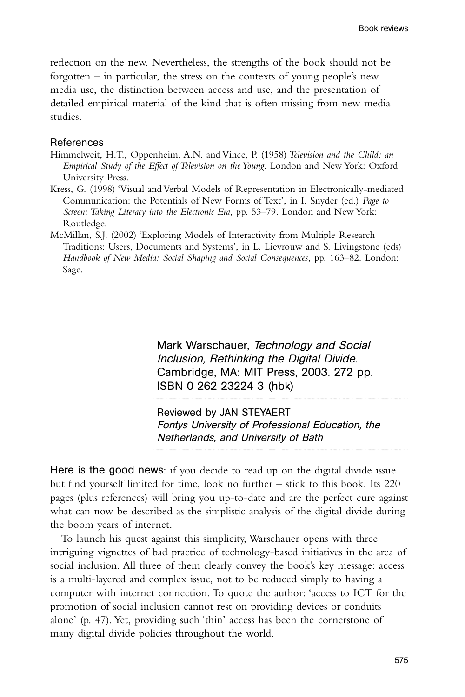Mark Warschauer, Technology and Social Inclusion, Rethinking the Digital Divide. Cambridge, MA: MIT Press, 2003. 272 pp. ISBN 0 262 23224 3 (hbk)

Reviewed by JAN STEYAERT Fontys University of Professional Education, the Netherlands, and University of Bath

............................................................................................................................................................................................................................................

............................................................................................................................................................................................................................................

Here is the good news: if you decide to read up on the digital divide issue but find yourself limited for time, look no further – stick to this book. Its 220 pages (plus references) will bring you up-to-date and are the perfect cure against what can now be described as the simplistic analysis of the digital divide during the boom years of internet.

To launch his quest against this simplicity, Warschauer opens with three intriguing vignettes of bad practice of technology-based initiatives in the area of social inclusion. All three of them clearly convey the book's key message: access is a multi-layered and complex issue, not to be reduced simply to having a computer with internet connection. To quote the author: 'access to ICT for the promotion of social inclusion cannot rest on providing devices or conduits alone' (p. 47). Yet, providing such 'thin' access has been the cornerstone of many digital divide policies throughout the world.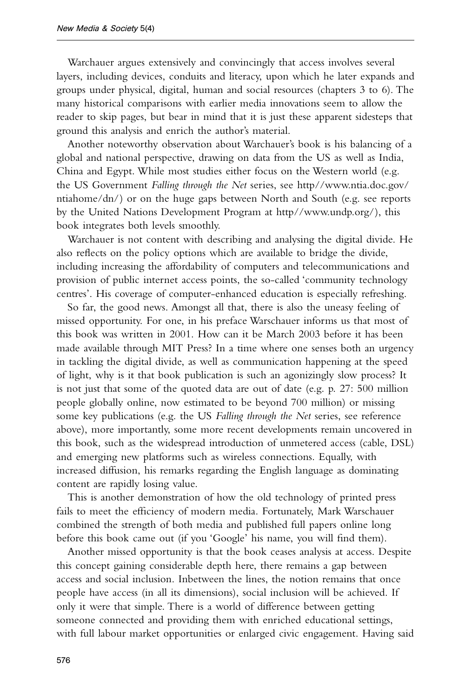Warchauer argues extensively and convincingly that access involves several layers, including devices, conduits and literacy, upon which he later expands and groups under physical, digital, human and social resources (chapters 3 to 6). The many historical comparisons with earlier media innovations seem to allow the reader to skip pages, but bear in mind that it is just these apparent sidesteps that ground this analysis and enrich the author's material.

Another noteworthy observation about Warchauer's book is his balancing of a global and national perspective, drawing on data from the US as well as India, China and Egypt. While most studies either focus on the Western world (e.g. the US Government *Falling through the Net* series, see http//www.ntia.doc.gov/ ntiahome/dn/) or on the huge gaps between North and South (e.g. see reports by the United Nations Development Program at http//www.undp.org/), this book integrates both levels smoothly.

Warchauer is not content with describing and analysing the digital divide. He also reflects on the policy options which are available to bridge the divide, including increasing the affordability of computers and telecommunications and provision of public internet access points, the so-called 'community technology centres'. His coverage of computer-enhanced education is especially refreshing.

So far, the good news. Amongst all that, there is also the uneasy feeling of missed opportunity. For one, in his preface Warschauer informs us that most of this book was written in 2001. How can it be March 2003 before it has been made available through MIT Press? In a time where one senses both an urgency in tackling the digital divide, as well as communication happening at the speed of light, why is it that book publication is such an agonizingly slow process? It is not just that some of the quoted data are out of date (e.g. p. 27: 500 million people globally online, now estimated to be beyond 700 million) or missing some key publications (e.g. the US *Falling through the Net* series, see reference above), more importantly, some more recent developments remain uncovered in this book, such as the widespread introduction of unmetered access (cable, DSL) and emerging new platforms such as wireless connections. Equally, with increased diffusion, his remarks regarding the English language as dominating content are rapidly losing value.

This is another demonstration of how the old technology of printed press fails to meet the efficiency of modern media. Fortunately, Mark Warschauer combined the strength of both media and published full papers online long before this book came out (if you 'Google' his name, you will find them).

Another missed opportunity is that the book ceases analysis at access. Despite this concept gaining considerable depth here, there remains a gap between access and social inclusion. Inbetween the lines, the notion remains that once people have access (in all its dimensions), social inclusion will be achieved. If only it were that simple. There is a world of difference between getting someone connected and providing them with enriched educational settings, with full labour market opportunities or enlarged civic engagement. Having said